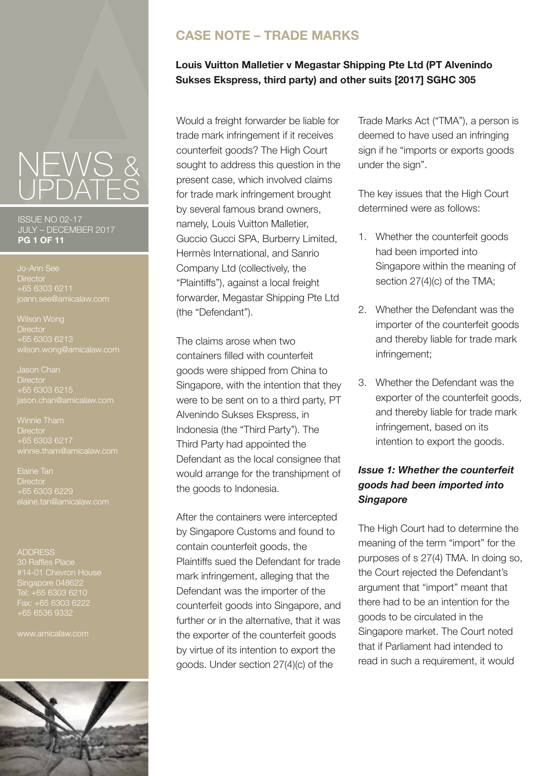ISSUE NO 02-17 JULY – DECEMBER 2017 **PG 1 OF 11**

**Director** +65 6303 6211 joann.see@amicalaw.com

**Director**  $+65$  6303 6213 wilson.wong@amicalaw.com

Jason Chan **Director** +65 6303 6215 jason.chan@amicalaw.com

**Director** 

Elaine Tan **Director** +65 6303 6229 laine.tan@amicalaw.com

**ADDRESS** 30 Raffles Place Singapore 048622 Tel: +65 6303 6210 Fax: +65 6303 6222 +65 6536 9332

www.amicalaw.com



# **CASE NOTE – TRADE MARKS**

## **Louis Vuitton Malletier v Megastar Shipping Pte Ltd (PT Alvenindo Sukses Ekspress, third party) and other suits [2017] SGHC 305**

Would a freight forwarder be liable for trade mark infringement if it receives counterfeit goods? The High Court sought to address this question in the present case, which involved claims for trade mark infringement brought by several famous brand owners, namely, Louis Vuitton Malletier, Guccio Gucci SPA, Burberry Limited, Hermès International, and Sanrio Company Ltd (collectively, the "Plaintiffs"), against a local freight forwarder, Megastar Shipping Pte Ltd (the "Defendant").

The claims arose when two containers filled with counterfeit goods were shipped from China to Singapore, with the intention that they were to be sent on to a third party, PT Alvenindo Sukses Ekspress, in Indonesia (the "Third Party"). The Third Party had appointed the Defendant as the local consignee that would arrange for the transhipment of the goods to Indonesia.

After the containers were intercepted by Singapore Customs and found to contain counterfeit goods, the Plaintiffs sued the Defendant for trade mark infringement, alleging that the Defendant was the importer of the counterfeit goods into Singapore, and further or in the alternative, that it was the exporter of the counterfeit goods by virtue of its intention to export the goods. Under section 27(4)(c) of the

Trade Marks Act ("TMA"), a person is deemed to have used an infringing sign if he "imports or exports goods under the sign".

The key issues that the High Court determined were as follows:

- 1. Whether the counterfeit goods had been imported into Singapore within the meaning of section 27(4)(c) of the TMA;
- 2. Whether the Defendant was the importer of the counterfeit goods and thereby liable for trade mark infringement;
- 3. Whether the Defendant was the exporter of the counterfeit goods, and thereby liable for trade mark infringement, based on its intention to export the goods.

# *Issue 1: Whether the counterfeit goods had been imported into Singapore*

The High Court had to determine the meaning of the term "import" for the purposes of s 27(4) TMA. In doing so, the Court rejected the Defendant's argument that "import" meant that there had to be an intention for the goods to be circulated in the Singapore market. The Court noted that if Parliament had intended to read in such a requirement, it would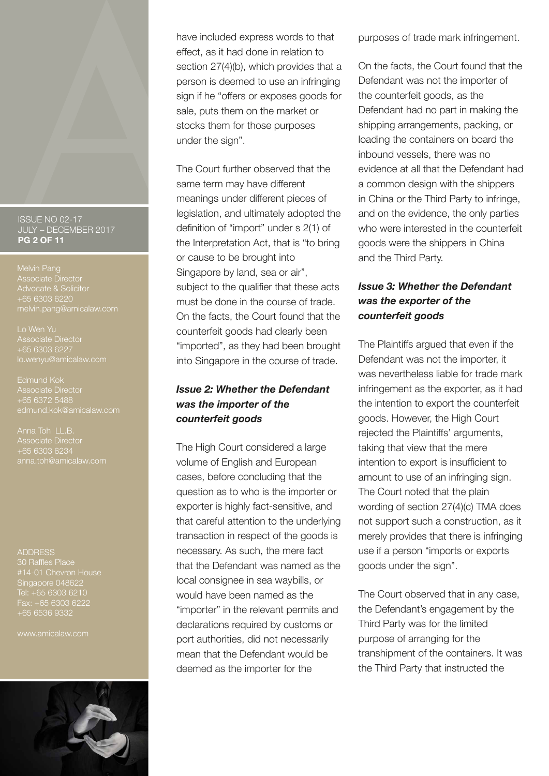#### ISSUE NO 02-17 JULY – DECEMBER 2017 **PG 2 OF 11**

Melvin Pang Associate Director Advocate & Solicitor melvin.pang@amicalaw.com

Lo Wen Yu Associate Director

Edmund Kok Associate Director +65 6372 5488 edmund.kok@amicalaw.com

Anna Toh LL.B.

ADDRESS 30 Raffles Place Singapore 048622 Tel: +65 6303 6210 Fax: +65 6303 6222 +65 6536 9332

www.amicalaw.com



have included express words to that effect, as it had done in relation to section 27(4)(b), which provides that a person is deemed to use an infringing sign if he "offers or exposes goods for sale, puts them on the market or stocks them for those purposes under the sign".

The Court further observed that the same term may have different meanings under different pieces of legislation, and ultimately adopted the definition of "import" under s 2(1) of the Interpretation Act, that is "to bring or cause to be brought into Singapore by land, sea or air", subject to the qualifier that these acts must be done in the course of trade. On the facts, the Court found that the counterfeit goods had clearly been "imported", as they had been brought into Singapore in the course of trade.

## *Issue 2: Whether the Defendant was the importer of the counterfeit goods*

The High Court considered a large volume of English and European cases, before concluding that the question as to who is the importer or exporter is highly fact-sensitive, and that careful attention to the underlying transaction in respect of the goods is necessary. As such, the mere fact that the Defendant was named as the local consignee in sea waybills, or would have been named as the "importer" in the relevant permits and declarations required by customs or port authorities, did not necessarily mean that the Defendant would be deemed as the importer for the

purposes of trade mark infringement.

On the facts, the Court found that the Defendant was not the importer of the counterfeit goods, as the Defendant had no part in making the shipping arrangements, packing, or loading the containers on board the inbound vessels, there was no evidence at all that the Defendant had a common design with the shippers in China or the Third Party to infringe, and on the evidence, the only parties who were interested in the counterfeit goods were the shippers in China and the Third Party.

## *Issue 3: Whether the Defendant was the exporter of the counterfeit goods*

The Plaintiffs argued that even if the Defendant was not the importer, it was nevertheless liable for trade mark infringement as the exporter, as it had the intention to export the counterfeit goods. However, the High Court rejected the Plaintiffs' arguments, taking that view that the mere intention to export is insufficient to amount to use of an infringing sign. The Court noted that the plain wording of section 27(4)(c) TMA does not support such a construction, as it merely provides that there is infringing use if a person "imports or exports goods under the sign".

The Court observed that in any case, the Defendant's engagement by the Third Party was for the limited purpose of arranging for the transhipment of the containers. It was the Third Party that instructed the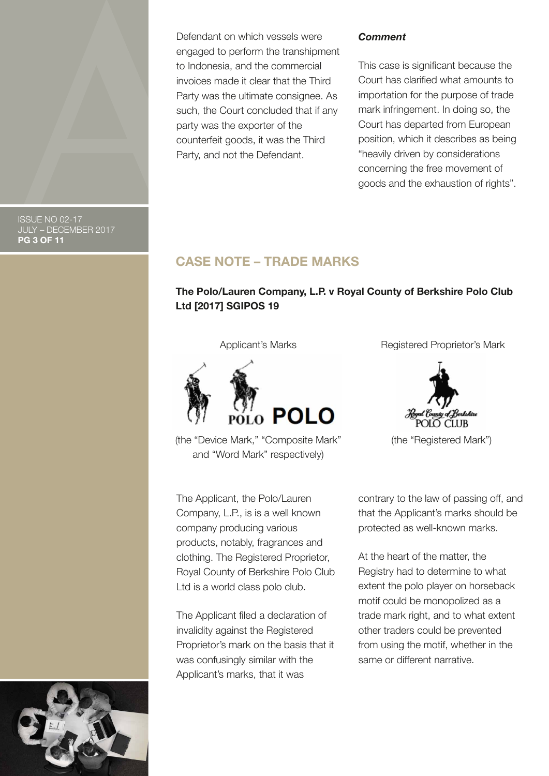Defendant on which vessels were engaged to perform the transhipment to Indonesia, and the commercial invoices made it clear that the Third Party was the ultimate consignee. As such, the Court concluded that if any party was the exporter of the counterfeit goods, it was the Third Party, and not the Defendant.

#### *Comment*

This case is significant because the Court has clarified what amounts to importation for the purpose of trade mark infringement. In doing so, the Court has departed from European position, which it describes as being "heavily driven by considerations concerning the free movement of goods and the exhaustion of rights".

ISSUE NO 02-17 JULY – DECEMBER 2017 **PG 3 OF 11**

# **CASE NOTE – TRADE MARKS**

## **The Polo/Lauren Company, L.P. v Royal County of Berkshire Polo Club Ltd [2017] SGIPOS 19**

Applicant's Marks



(the "Device Mark," "Composite Mark" and "Word Mark" respectively)

The Applicant, the Polo/Lauren Company, L.P., is is a well known company producing various products, notably, fragrances and clothing. The Registered Proprietor, Royal County of Berkshire Polo Club Ltd is a world class polo club.

The Applicant filed a declaration of invalidity against the Registered Proprietor's mark on the basis that it was confusingly similar with the Applicant's marks, that it was

Registered Proprietor's Mark



(the "Registered Mark")

contrary to the law of passing off, and that the Applicant's marks should be protected as well-known marks.

At the heart of the matter, the Registry had to determine to what extent the polo player on horseback motif could be monopolized as a trade mark right, and to what extent other traders could be prevented from using the motif, whether in the same or different narrative.

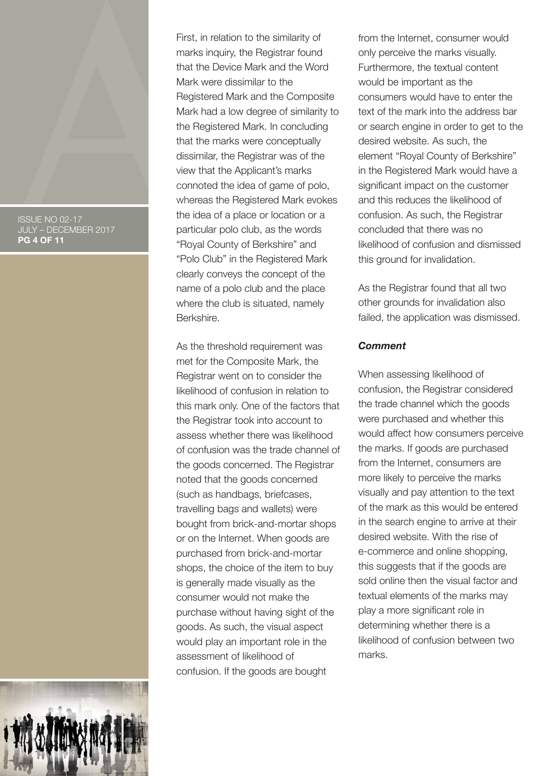ISSUE NO 02-17 JULY – DECEMBER 2017 **PG 4 OF 11**

First, in relation to the similarity of marks inquiry, the Registrar found that the Device Mark and the Word Mark were dissimilar to the Registered Mark and the Composite Mark had a low degree of similarity to the Registered Mark. In concluding that the marks were conceptually dissimilar, the Registrar was of the view that the Applicant's marks connoted the idea of game of polo, whereas the Registered Mark evokes the idea of a place or location or a particular polo club, as the words "Royal County of Berkshire" and "Polo Club" in the Registered Mark clearly conveys the concept of the name of a polo club and the place where the club is situated, namely Berkshire.

As the threshold requirement was met for the Composite Mark, the Registrar went on to consider the likelihood of confusion in relation to this mark only. One of the factors that the Registrar took into account to assess whether there was likelihood of confusion was the trade channel of the goods concerned. The Registrar noted that the goods concerned (such as handbags, briefcases, travelling bags and wallets) were bought from brick-and-mortar shops or on the Internet. When goods are purchased from brick-and-mortar shops, the choice of the item to buy is generally made visually as the consumer would not make the purchase without having sight of the goods. As such, the visual aspect would play an important role in the assessment of likelihood of confusion. If the goods are bought

from the Internet, consumer would only perceive the marks visually. Furthermore, the textual content would be important as the consumers would have to enter the text of the mark into the address bar or search engine in order to get to the desired website. As such, the element "Royal County of Berkshire" in the Registered Mark would have a significant impact on the customer and this reduces the likelihood of confusion. As such, the Registrar concluded that there was no likelihood of confusion and dismissed this ground for invalidation.

As the Registrar found that all two other grounds for invalidation also failed, the application was dismissed.

#### *Comment*

When assessing likelihood of confusion, the Registrar considered the trade channel which the goods were purchased and whether this would affect how consumers perceive the marks. If goods are purchased from the Internet, consumers are more likely to perceive the marks visually and pay attention to the text of the mark as this would be entered in the search engine to arrive at their desired website. With the rise of e-commerce and online shopping. this suggests that if the goods are sold online then the visual factor and textual elements of the marks may play a more significant role in determining whether there is a likelihood of confusion between two marks.

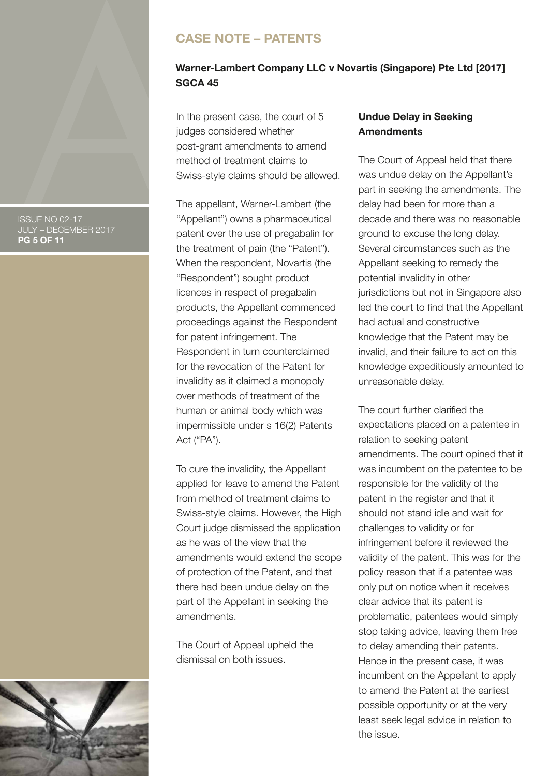ISSUE NO 02-17 JULY – DECEMBER 2017 **PG 5 OF 11**

# **CASE NOTE – PATENTS**

### **Warner-Lambert Company LLC v Novartis (Singapore) Pte Ltd [2017] SGCA 45**

In the present case, the court of 5 judges considered whether post-grant amendments to amend method of treatment claims to Swiss-style claims should be allowed.

The appellant, Warner-Lambert (the "Appellant") owns a pharmaceutical patent over the use of pregabalin for the treatment of pain (the "Patent"). When the respondent, Novartis (the "Respondent") sought product licences in respect of pregabalin products, the Appellant commenced proceedings against the Respondent for patent infringement. The Respondent in turn counterclaimed for the revocation of the Patent for invalidity as it claimed a monopoly over methods of treatment of the human or animal body which was impermissible under s 16(2) Patents Act ("PA").

To cure the invalidity, the Appellant applied for leave to amend the Patent from method of treatment claims to Swiss-style claims. However, the High Court judge dismissed the application as he was of the view that the amendments would extend the scope of protection of the Patent, and that there had been undue delay on the part of the Appellant in seeking the amendments.

The Court of Appeal upheld the dismissal on both issues.

#### **Undue Delay in Seeking Amendments**

The Court of Appeal held that there was undue delay on the Appellant's part in seeking the amendments. The delay had been for more than a decade and there was no reasonable ground to excuse the long delay. Several circumstances such as the Appellant seeking to remedy the potential invalidity in other jurisdictions but not in Singapore also led the court to find that the Appellant had actual and constructive knowledge that the Patent may be invalid, and their failure to act on this knowledge expeditiously amounted to unreasonable delay.

The court further clarified the expectations placed on a patentee in relation to seeking patent amendments. The court opined that it was incumbent on the patentee to be responsible for the validity of the patent in the register and that it should not stand idle and wait for challenges to validity or for infringement before it reviewed the validity of the patent. This was for the policy reason that if a patentee was only put on notice when it receives clear advice that its patent is problematic, patentees would simply stop taking advice, leaving them free to delay amending their patents. Hence in the present case, it was incumbent on the Appellant to apply to amend the Patent at the earliest possible opportunity or at the very least seek legal advice in relation to the issue.

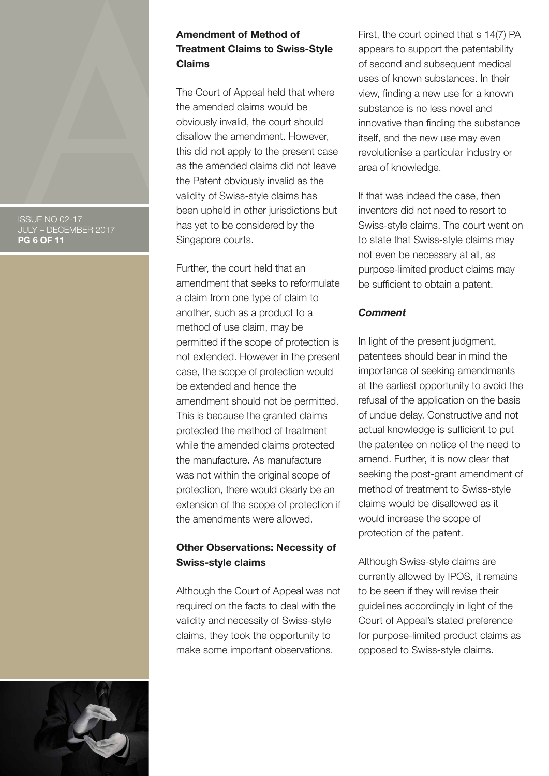#### ISSUE NO 02-17 JULY – DECEMBER 2017 **PG 6 OF 11**

#### **Amendment of Method of Treatment Claims to Swiss-Style Claims**

The Court of Appeal held that where the amended claims would be obviously invalid, the court should disallow the amendment. However, this did not apply to the present case as the amended claims did not leave the Patent obviously invalid as the validity of Swiss-style claims has been upheld in other jurisdictions but has yet to be considered by the Singapore courts.

Further, the court held that an amendment that seeks to reformulate a claim from one type of claim to another, such as a product to a method of use claim, may be permitted if the scope of protection is not extended. However in the present case, the scope of protection would be extended and hence the amendment should not be permitted. This is because the granted claims protected the method of treatment while the amended claims protected the manufacture. As manufacture was not within the original scope of protection, there would clearly be an extension of the scope of protection if the amendments were allowed.

#### **Other Observations: Necessity of Swiss-style claims**

Although the Court of Appeal was not required on the facts to deal with the validity and necessity of Swiss-style claims, they took the opportunity to make some important observations.

First, the court opined that s 14(7) PA appears to support the patentability of second and subsequent medical uses of known substances. In their view, finding a new use for a known substance is no less novel and innovative than finding the substance itself, and the new use may even revolutionise a particular industry or area of knowledge.

If that was indeed the case, then inventors did not need to resort to Swiss-style claims. The court went on to state that Swiss-style claims may not even be necessary at all, as purpose-limited product claims may be sufficient to obtain a patent.

#### *Comment*

In light of the present judgment, patentees should bear in mind the importance of seeking amendments at the earliest opportunity to avoid the refusal of the application on the basis of undue delay. Constructive and not actual knowledge is sufficient to put the patentee on notice of the need to amend. Further, it is now clear that seeking the post-grant amendment of method of treatment to Swiss-style claims would be disallowed as it would increase the scope of protection of the patent.

Although Swiss-style claims are currently allowed by IPOS, it remains to be seen if they will revise their guidelines accordingly in light of the Court of Appeal's stated preference for purpose-limited product claims as opposed to Swiss-style claims.

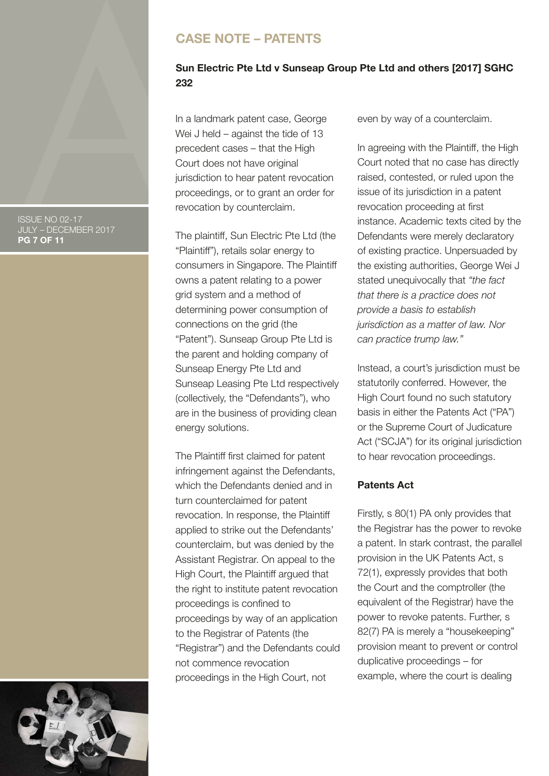# **CASE NOTE – PATENTS**

# **Sun Electric Pte Ltd v Sunseap Group Pte Ltd and others [2017] SGHC 232**

In a landmark patent case, George Wei J held – against the tide of 13 precedent cases – that the High Court does not have original jurisdiction to hear patent revocation proceedings, or to grant an order for revocation by counterclaim.

The plaintiff, Sun Electric Pte Ltd (the "Plaintiff"), retails solar energy to consumers in Singapore. The Plaintiff owns a patent relating to a power grid system and a method of determining power consumption of connections on the grid (the "Patent"). Sunseap Group Pte Ltd is the parent and holding company of Sunseap Energy Pte Ltd and Sunseap Leasing Pte Ltd respectively (collectively, the "Defendants"), who are in the business of providing clean energy solutions.

The Plaintiff first claimed for patent infringement against the Defendants, which the Defendants denied and in turn counterclaimed for patent revocation. In response, the Plaintiff applied to strike out the Defendants' counterclaim, but was denied by the Assistant Registrar. On appeal to the High Court, the Plaintiff argued that the right to institute patent revocation proceedings is confined to proceedings by way of an application to the Registrar of Patents (the "Registrar") and the Defendants could not commence revocation proceedings in the High Court, not

even by way of a counterclaim.

In agreeing with the Plaintiff, the High Court noted that no case has directly raised, contested, or ruled upon the issue of its jurisdiction in a patent revocation proceeding at first instance. Academic texts cited by the Defendants were merely declaratory of existing practice. Unpersuaded by the existing authorities, George Wei J stated unequivocally that *"the fact that there is a practice does not provide a basis to establish jurisdiction as a matter of law. Nor can practice trump law."* 

Instead, a court's jurisdiction must be statutorily conferred. However, the High Court found no such statutory basis in either the Patents Act ("PA") or the Supreme Court of Judicature Act ("SCJA") for its original jurisdiction to hear revocation proceedings.

# **Patents Act**

Firstly, s 80(1) PA only provides that the Registrar has the power to revoke a patent. In stark contrast, the parallel provision in the UK Patents Act, s 72(1), expressly provides that both the Court and the comptroller (the equivalent of the Registrar) have the power to revoke patents. Further, s 82(7) PA is merely a "housekeeping" provision meant to prevent or control duplicative proceedings – for example, where the court is dealing



ISSUE NO 02-17 JULY – DECEMBER 2017 **PG 7 OF 11**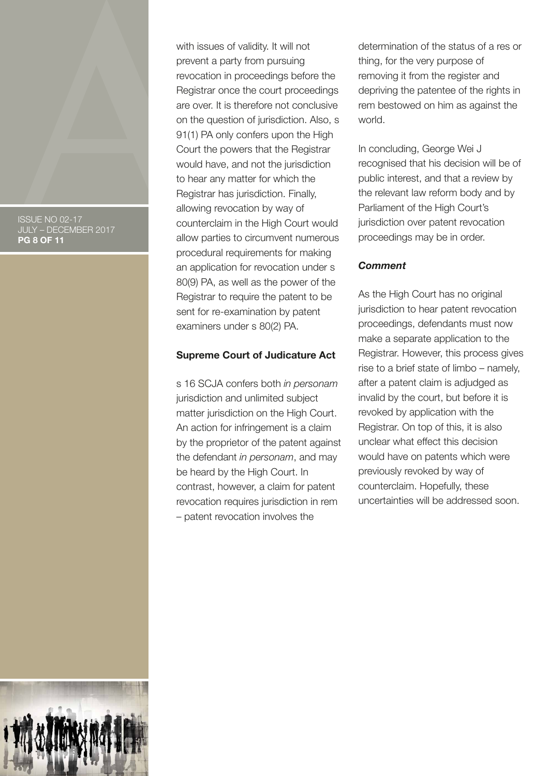ISSUE NO 02-17 JULY – DECEMBER 2017 **PG 8 OF 11**

with issues of validity. It will not prevent a party from pursuing revocation in proceedings before the Registrar once the court proceedings are over. It is therefore not conclusive on the question of jurisdiction. Also, s 91(1) PA only confers upon the High Court the powers that the Registrar would have, and not the jurisdiction to hear any matter for which the Registrar has jurisdiction. Finally, allowing revocation by way of counterclaim in the High Court would allow parties to circumvent numerous procedural requirements for making an application for revocation under s 80(9) PA, as well as the power of the Registrar to require the patent to be sent for re-examination by patent examiners under s 80(2) PA.

#### **Supreme Court of Judicature Act**

s 16 SCJA confers both *in personam*  jurisdiction and unlimited subject matter jurisdiction on the High Court. An action for infringement is a claim by the proprietor of the patent against the defendant *in personam*, and may be heard by the High Court. In contrast, however, a claim for patent revocation requires jurisdiction in rem – patent revocation involves the

determination of the status of a res or thing, for the very purpose of removing it from the register and depriving the patentee of the rights in rem bestowed on him as against the world.

In concluding, George Wei J recognised that his decision will be of public interest, and that a review by the relevant law reform body and by Parliament of the High Court's jurisdiction over patent revocation proceedings may be in order.

#### *Comment*

As the High Court has no original jurisdiction to hear patent revocation proceedings, defendants must now make a separate application to the Registrar. However, this process gives rise to a brief state of limbo – namely, after a patent claim is adjudged as invalid by the court, but before it is revoked by application with the Registrar. On top of this, it is also unclear what effect this decision would have on patents which were previously revoked by way of counterclaim. Hopefully, these uncertainties will be addressed soon.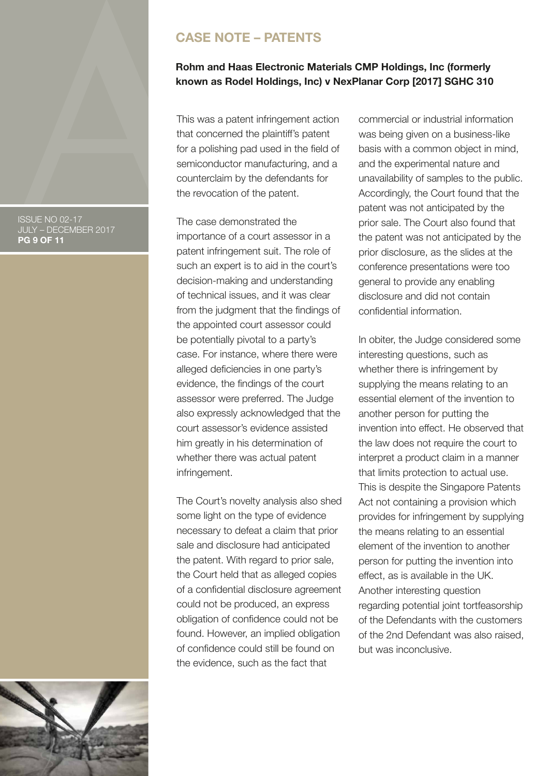#### ISSUE NO 02-17 JULY – DECEMBER 2017 **PG 9 OF 11**

# **CASE NOTE – PATENTS**

#### **Rohm and Haas Electronic Materials CMP Holdings, Inc (formerly known as Rodel Holdings, Inc) v NexPlanar Corp [2017] SGHC 310**

This was a patent infringement action that concerned the plaintiff's patent for a polishing pad used in the field of semiconductor manufacturing, and a counterclaim by the defendants for the revocation of the patent.

The case demonstrated the importance of a court assessor in a patent infringement suit. The role of such an expert is to aid in the court's decision-making and understanding of technical issues, and it was clear from the judgment that the findings of the appointed court assessor could be potentially pivotal to a party's case. For instance, where there were alleged deficiencies in one party's evidence, the findings of the court assessor were preferred. The Judge also expressly acknowledged that the court assessor's evidence assisted him greatly in his determination of whether there was actual patent infringement.

The Court's novelty analysis also shed some light on the type of evidence necessary to defeat a claim that prior sale and disclosure had anticipated the patent. With regard to prior sale, the Court held that as alleged copies of a confidential disclosure agreement could not be produced, an express obligation of confidence could not be found. However, an implied obligation of confidence could still be found on the evidence, such as the fact that

commercial or industrial information was being given on a business-like basis with a common object in mind, and the experimental nature and unavailability of samples to the public. Accordingly, the Court found that the patent was not anticipated by the prior sale. The Court also found that the patent was not anticipated by the prior disclosure, as the slides at the conference presentations were too general to provide any enabling disclosure and did not contain confidential information.

In obiter, the Judge considered some interesting questions, such as whether there is infringement by supplying the means relating to an essential element of the invention to another person for putting the invention into effect. He observed that the law does not require the court to interpret a product claim in a manner that limits protection to actual use. This is despite the Singapore Patents Act not containing a provision which provides for infringement by supplying the means relating to an essential element of the invention to another person for putting the invention into effect, as is available in the UK. Another interesting question regarding potential joint tortfeasorship of the Defendants with the customers of the 2nd Defendant was also raised, but was inconclusive.

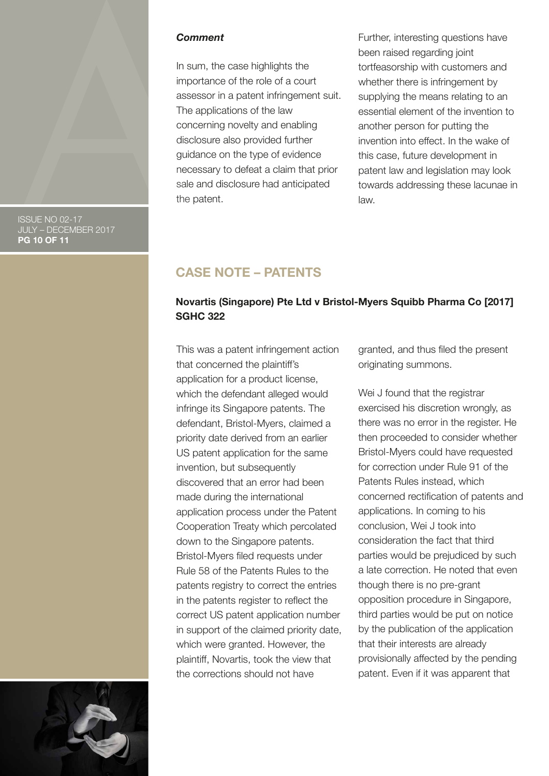

ISSUE NO 02-17 JULY – DECEMBER 2017 **PG 10 OF 11**

#### *Comment*

In sum, the case highlights the importance of the role of a court assessor in a patent infringement suit. The applications of the law concerning novelty and enabling disclosure also provided further guidance on the type of evidence necessary to defeat a claim that prior sale and disclosure had anticipated the patent.

Further, interesting questions have been raised regarding joint tortfeasorship with customers and whether there is infringement by supplying the means relating to an essential element of the invention to another person for putting the invention into effect. In the wake of this case, future development in patent law and legislation may look towards addressing these lacunae in law.

## **CASE NOTE – PATENTS**

#### **Novartis (Singapore) Pte Ltd v Bristol-Myers Squibb Pharma Co [2017] SGHC 322**

This was a patent infringement action that concerned the plaintiff's application for a product license, which the defendant alleged would infringe its Singapore patents. The defendant, Bristol-Myers, claimed a priority date derived from an earlier US patent application for the same invention, but subsequently discovered that an error had been made during the international application process under the Patent Cooperation Treaty which percolated down to the Singapore patents. Bristol-Myers filed requests under Rule 58 of the Patents Rules to the patents registry to correct the entries in the patents register to reflect the correct US patent application number in support of the claimed priority date, which were granted. However, the plaintiff, Novartis, took the view that the corrections should not have

granted, and thus filed the present originating summons.

Wei J found that the registrar exercised his discretion wrongly, as there was no error in the register. He then proceeded to consider whether Bristol-Myers could have requested for correction under Rule 91 of the Patents Rules instead, which concerned rectification of patents and applications. In coming to his conclusion, Wei J took into consideration the fact that third parties would be prejudiced by such a late correction. He noted that even though there is no pre-grant opposition procedure in Singapore, third parties would be put on notice by the publication of the application that their interests are already provisionally affected by the pending patent. Even if it was apparent that